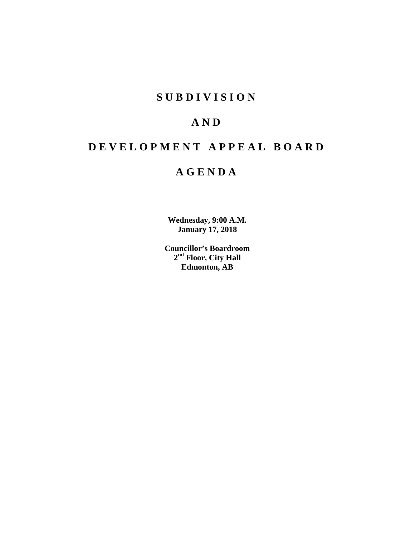# **SUBDIVISION**

# **AND**

# **DEVELOPMENT APPEAL BOARD**

# **AGENDA**

**Wednesday, 9:00 A.M. January 17, 2018**

**Councillor's Boardroom 2nd Floor, City Hall Edmonton, AB**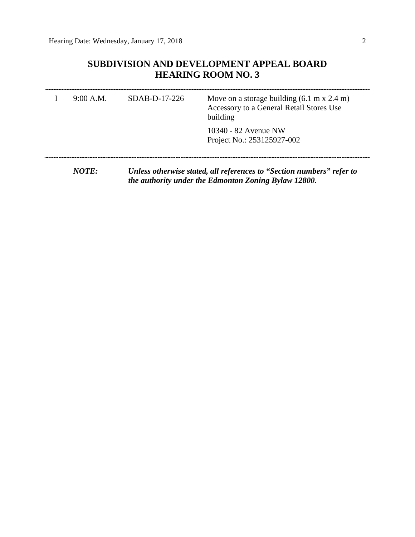# **SUBDIVISION AND DEVELOPMENT APPEAL BOARD HEARING ROOM NO. 3**

| 9:00 A.M.    | $SDAB-D-17-226$ | Move on a storage building $(6.1 \text{ m x } 2.4 \text{ m})$<br>Accessory to a General Retail Stores Use<br>building |
|--------------|-----------------|-----------------------------------------------------------------------------------------------------------------------|
|              |                 | 10340 - 82 Avenue NW<br>Project No.: 253125927-002                                                                    |
| <i>NOTE:</i> |                 | Unless otherwise stated, all references to "Section numbers" refer to                                                 |

*the authority under the Edmonton Zoning Bylaw 12800.*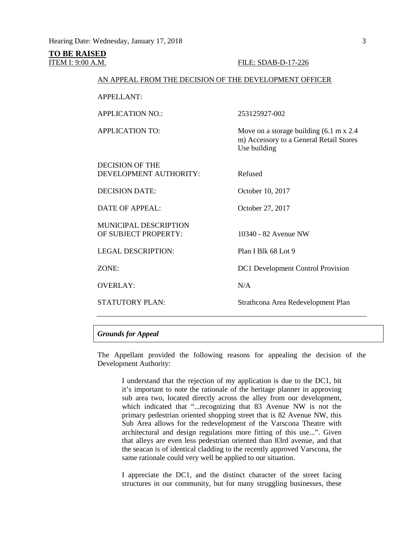**TO BE RAISED** ITEM I: 9:00 A.M. FILE: SDAB-D-17-226 AN APPEAL FROM THE DECISION OF THE DEVELOPMENT OFFICER APPELLANT: APPLICATION NO.: 253125927-002 APPLICATION TO: Move on a storage building (6.1 m x 2.4 m) Accessory to a General Retail Stores Use building DECISION OF THE DEVELOPMENT AUTHORITY: Refused DECISION DATE: October 10, 2017 DATE OF APPEAL: October 27, 2017 MUNICIPAL DESCRIPTION OF SUBJECT PROPERTY: 10340 - 82 Avenue NW LEGAL DESCRIPTION: Plan I Blk 68 Lot 9 ZONE: DC1 Development Control Provision OVERLAY: N/A STATUTORY PLAN: Strathcona Area Redevelopment Plan

The Appellant provided the following reasons for appealing the decision of the Development Authority:

I understand that the rejection of my application is due to the DC1, bit it's important to note the rationale of the heritage planner in approving sub area two, located directly across the alley from our development, which indicated that "...recognizing that 83 Avenue NW is not the primary pedestrian oriented shopping street that is 82 Avenue NW, this Sub Area allows for the redevelopment of the Varscona Theatre with architectural and design regulations more fitting of this use...". Given that alleys are even less pedestrian oriented than 83rd avenue, and that the seacan is of identical cladding to the recently approved Varscona, the same rationale could very well be applied to our situation.

I appreciate the DC1, and the distinct character of the street facing structures in our community, but for many struggling businesses, these

*Grounds for Appeal*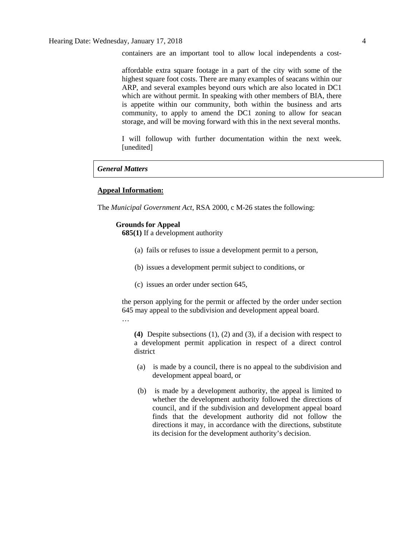containers are an important tool to allow local independents a cost-

affordable extra square footage in a part of the city with some of the highest square foot costs. There are many examples of seacans within our ARP, and several examples beyond ours which are also located in DC1 which are without permit. In speaking with other members of BIA, there is appetite within our community, both within the business and arts community, to apply to amend the DC1 zoning to allow for seacan storage, and will be moving forward with this in the next several months.

I will followup with further documentation within the next week. [unedited]

# *General Matters*

### **Appeal Information:**

The *Municipal Government Act*, RSA 2000, c M-26 states the following:

#### **Grounds for Appeal**

**685(1)** If a development authority

- (a) fails or refuses to issue a development permit to a person,
- (b) issues a development permit subject to conditions, or
- (c) issues an order under section 645,

the person applying for the permit or affected by the order under section 645 may appeal to the subdivision and development appeal board.

…

**(4)** Despite subsections (1), (2) and (3), if a decision with respect to a development permit application in respect of a direct control district

- (a) is made by a council, there is no appeal to the subdivision and development appeal board, or
- (b) is made by a development authority, the appeal is limited to whether the development authority followed the directions of council, and if the subdivision and development appeal board finds that the development authority did not follow the directions it may, in accordance with the directions, substitute its decision for the development authority's decision.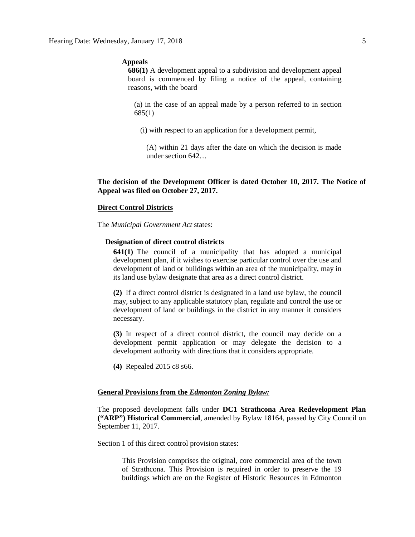#### **Appeals**

**686(1)** A development appeal to a subdivision and development appeal board is commenced by filing a notice of the appeal, containing reasons, with the board

(a) in the case of an appeal made by a person referred to in section 685(1)

(i) with respect to an application for a development permit,

(A) within 21 days after the date on which the decision is made under section 642…

## **The decision of the Development Officer is dated October 10, 2017. The Notice of Appeal was filed on October 27, 2017.**

#### **Direct Control Districts**

The *Municipal Government Act* states:

# **Designation of direct control districts**

**641(1)** The council of a municipality that has adopted a municipal development plan, if it wishes to exercise particular control over the use and development of land or buildings within an area of the municipality, may in its land use bylaw designate that area as a direct control district.

**(2)** If a direct control district is designated in a land use bylaw, the council may, subject to any applicable statutory plan, regulate and control the use or development of land or buildings in the district in any manner it considers necessary.

**(3)** In respect of a direct control district, the council may decide on a development permit application or may delegate the decision to a development authority with directions that it considers appropriate.

**(4)** Repealed 2015 c8 s66.

#### **General Provisions from the** *Edmonton Zoning Bylaw:*

The proposed development falls under **DC1 Strathcona Area Redevelopment Plan ("ARP") Historical Commercial**, amended by Bylaw 18164, passed by City Council on September 11, 2017.

Section 1 of this direct control provision states:

This Provision comprises the original, core commercial area of the town of Strathcona. This Provision is required in order to preserve the 19 buildings which are on the Register of Historic Resources in Edmonton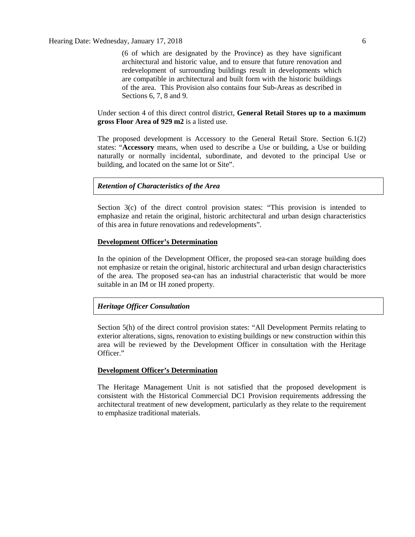Hearing Date: Wednesday, January 17, 2018 6

(6 of which are designated by the Province) as they have significant architectural and historic value, and to ensure that future renovation and redevelopment of surrounding buildings result in developments which are compatible in architectural and built form with the historic buildings of the area. This Provision also contains four Sub-Areas as described in Sections 6, 7, 8 and 9.

Under section 4 of this direct control district, **General Retail Stores up to a maximum gross Floor Area of 929 m2** is a listed use.

The proposed development is Accessory to the General Retail Store. Section 6.1(2) states: "**Accessory** means, when used to describe a Use or building, a Use or building naturally or normally incidental, subordinate, and devoted to the principal Use or building, and located on the same lot or Site".

### *Retention of Characteristics of the Area*

Section 3(c) of the direct control provision states: "This provision is intended to emphasize and retain the original, historic architectural and urban design characteristics of this area in future renovations and redevelopments".

#### **Development Officer's Determination**

In the opinion of the Development Officer, the proposed sea-can storage building does not emphasize or retain the original, historic architectural and urban design characteristics of the area. The proposed sea-can has an industrial characteristic that would be more suitable in an IM or IH zoned property.

### *Heritage Officer Consultation*

Section 5(h) of the direct control provision states: "All Development Permits relating to exterior alterations, signs, renovation to existing buildings or new construction within this area will be reviewed by the Development Officer in consultation with the Heritage Officer."

#### **Development Officer's Determination**

The Heritage Management Unit is not satisfied that the proposed development is consistent with the Historical Commercial DC1 Provision requirements addressing the architectural treatment of new development, particularly as they relate to the requirement to emphasize traditional materials.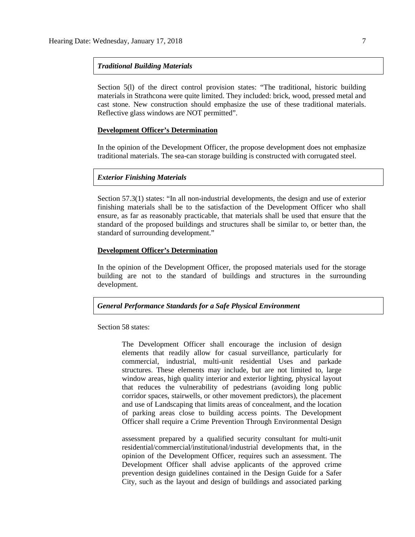# *Traditional Building Materials*

Section 5(l) of the direct control provision states: "The traditional, historic building materials in Strathcona were quite limited. They included: brick, wood, pressed metal and cast stone. New construction should emphasize the use of these traditional materials. Reflective glass windows are NOT permitted".

# **Development Officer's Determination**

In the opinion of the Development Officer, the propose development does not emphasize traditional materials. The sea-can storage building is constructed with corrugated steel.

#### *Exterior Finishing Materials*

Section 57.3(1) states: "In all non-industrial developments, the design and use of exterior finishing materials shall be to the satisfaction of the Development Officer who shall ensure, as far as reasonably practicable, that materials shall be used that ensure that the standard of the proposed buildings and structures shall be similar to, or better than, the standard of surrounding development."

#### **Development Officer's Determination**

In the opinion of the Development Officer, the proposed materials used for the storage building are not to the standard of buildings and structures in the surrounding development.

### *General Performance Standards for a Safe Physical Environment*

Section 58 states:

The Development Officer shall encourage the inclusion of design elements that readily allow for casual surveillance, particularly for commercial, industrial, multi-unit residential Uses and parkade structures. These elements may include, but are not limited to, large window areas, high quality interior and exterior lighting, physical layout that reduces the vulnerability of pedestrians (avoiding long public corridor spaces, stairwells, or other movement predictors), the placement and use of Landscaping that limits areas of concealment, and the location of parking areas close to building access points. The Development Officer shall require a Crime Prevention Through Environmental Design

assessment prepared by a qualified security consultant for multi-unit residential/commercial/institutional/industrial developments that, in the opinion of the Development Officer, requires such an assessment. The Development Officer shall advise applicants of the approved crime prevention design guidelines contained in the Design Guide for a Safer City, such as the layout and design of buildings and associated parking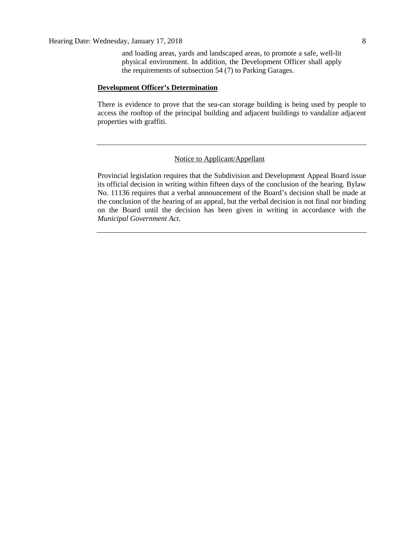### **Development Officer's Determination**

There is evidence to prove that the sea-can storage building is being used by people to access the rooftop of the principal building and adjacent buildings to vandalize adjacent properties with graffiti.

#### Notice to Applicant/Appellant

Provincial legislation requires that the Subdivision and Development Appeal Board issue its official decision in writing within fifteen days of the conclusion of the hearing. Bylaw No. 11136 requires that a verbal announcement of the Board's decision shall be made at the conclusion of the hearing of an appeal, but the verbal decision is not final nor binding on the Board until the decision has been given in writing in accordance with the *Municipal Government Act.*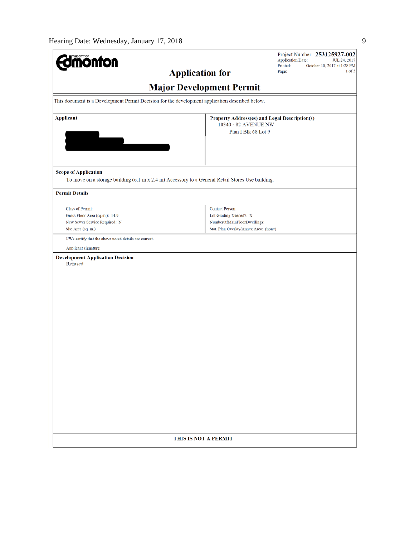| <b>dmönton</b>                                                                                   |                                                                       | Project Number: 253125927-002<br><b>Application Date:</b><br>JUL 24, 2017<br>Printed:<br>October 10, 2017 at 1:28 PM |  |  |  |  |  |  |  |
|--------------------------------------------------------------------------------------------------|-----------------------------------------------------------------------|----------------------------------------------------------------------------------------------------------------------|--|--|--|--|--|--|--|
| <b>Application for</b>                                                                           | $1$ of $3$<br>Page:                                                   |                                                                                                                      |  |  |  |  |  |  |  |
| <b>Major Development Permit</b>                                                                  |                                                                       |                                                                                                                      |  |  |  |  |  |  |  |
| This document is a Development Permit Decision for the development application described below.  |                                                                       |                                                                                                                      |  |  |  |  |  |  |  |
| <b>Applicant</b>                                                                                 | Property Address(es) and Legal Description(s)<br>10340 - 82 AVENUE NW |                                                                                                                      |  |  |  |  |  |  |  |
|                                                                                                  | Plan I Blk 68 Lot 9                                                   |                                                                                                                      |  |  |  |  |  |  |  |
|                                                                                                  |                                                                       |                                                                                                                      |  |  |  |  |  |  |  |
| <b>Scope of Application</b>                                                                      |                                                                       |                                                                                                                      |  |  |  |  |  |  |  |
| To move on a storage building (6.1 m x 2.4 m) Accessory to a General Retail Stores Use building. |                                                                       |                                                                                                                      |  |  |  |  |  |  |  |
| <b>Permit Details</b>                                                                            |                                                                       |                                                                                                                      |  |  |  |  |  |  |  |
| <b>Class of Permit:</b>                                                                          | <b>Contact Person:</b>                                                |                                                                                                                      |  |  |  |  |  |  |  |
| Gross Floor Area (sq.m.): 14.9                                                                   | Lot Grading Needed?: N                                                |                                                                                                                      |  |  |  |  |  |  |  |
| New Sewer Service Required: N                                                                    | NumberOfMainFloorDwellings:                                           |                                                                                                                      |  |  |  |  |  |  |  |
| Site Area (sq. m.):                                                                              | Stat. Plan Overlay/Annex Area: (none)                                 |                                                                                                                      |  |  |  |  |  |  |  |
| I/We certify that the above noted details are correct.                                           |                                                                       |                                                                                                                      |  |  |  |  |  |  |  |
| Applicant signature:                                                                             |                                                                       |                                                                                                                      |  |  |  |  |  |  |  |
| <b>Development Application Decision</b><br>Refused                                               |                                                                       |                                                                                                                      |  |  |  |  |  |  |  |
|                                                                                                  |                                                                       |                                                                                                                      |  |  |  |  |  |  |  |
| THIS IS NOT A PERMIT                                                                             |                                                                       |                                                                                                                      |  |  |  |  |  |  |  |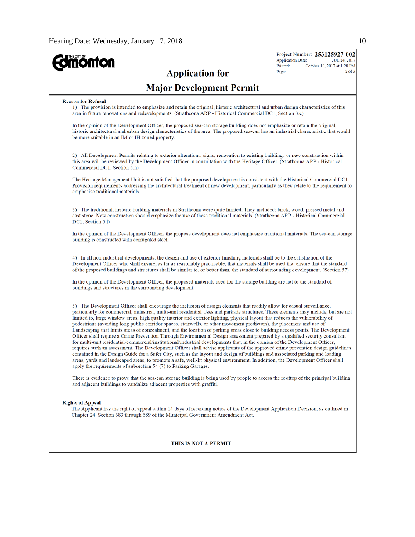$\overline{\Gamma}$ 

| <b>mönton</b>                                                                                                                                                                                                                                                                                                                                                                                                                                                                                                                                                                                                                                                                                                                                                                                                                                                                                                                                                                                                                                                                                                                                                                                                                                                                                                                                                                                             | Project Number: 253125927-002<br><b>Application Date:</b><br>JUL 24, 2017<br>Printed:<br>October 10, 2017 at 1:28 PM<br>$2$ of $3$<br>Page: |  |  |  |  |  |  |  |  |
|-----------------------------------------------------------------------------------------------------------------------------------------------------------------------------------------------------------------------------------------------------------------------------------------------------------------------------------------------------------------------------------------------------------------------------------------------------------------------------------------------------------------------------------------------------------------------------------------------------------------------------------------------------------------------------------------------------------------------------------------------------------------------------------------------------------------------------------------------------------------------------------------------------------------------------------------------------------------------------------------------------------------------------------------------------------------------------------------------------------------------------------------------------------------------------------------------------------------------------------------------------------------------------------------------------------------------------------------------------------------------------------------------------------|---------------------------------------------------------------------------------------------------------------------------------------------|--|--|--|--|--|--|--|--|
| <b>Application for</b><br><b>Major Development Permit</b>                                                                                                                                                                                                                                                                                                                                                                                                                                                                                                                                                                                                                                                                                                                                                                                                                                                                                                                                                                                                                                                                                                                                                                                                                                                                                                                                                 |                                                                                                                                             |  |  |  |  |  |  |  |  |
| <b>Reason for Refusal</b><br>1) The provision is intended to emphasize and retain the original, historic architectural and urban design characteristics of this<br>area in future renovations and redevelopments. (Strathcona ARP - Historical Commercial DC1, Section 3.c)                                                                                                                                                                                                                                                                                                                                                                                                                                                                                                                                                                                                                                                                                                                                                                                                                                                                                                                                                                                                                                                                                                                               |                                                                                                                                             |  |  |  |  |  |  |  |  |
| In the opinion of the Development Officer, the proposed sea-can storage building does not emphasize or retain the original,<br>historic architectural and urban design characteristics of the area. The proposed sea-can has an industrial characteristic that would<br>be more suitable in an IM or IH zoned property.                                                                                                                                                                                                                                                                                                                                                                                                                                                                                                                                                                                                                                                                                                                                                                                                                                                                                                                                                                                                                                                                                   |                                                                                                                                             |  |  |  |  |  |  |  |  |
| 2) All Development Permits relating to exterior alterations, signs, renovation to existing buildings or new construction within<br>this area will be reviewed by the Development Officer in consultation with the Heritage Officer. (Strathcona ARP - Historical<br>Commercial DC1, Section 5.h)                                                                                                                                                                                                                                                                                                                                                                                                                                                                                                                                                                                                                                                                                                                                                                                                                                                                                                                                                                                                                                                                                                          |                                                                                                                                             |  |  |  |  |  |  |  |  |
| The Heritage Management Unit is not satisfied that the proposed development is consistent with the Historical Commercial DC1<br>Provision requirements addressing the architectural treatment of new development, particularly as they relate to the requirement to<br>emphasize traditional materials.                                                                                                                                                                                                                                                                                                                                                                                                                                                                                                                                                                                                                                                                                                                                                                                                                                                                                                                                                                                                                                                                                                   |                                                                                                                                             |  |  |  |  |  |  |  |  |
| 3) The traditional, historic building materials in Strathcona were quite limited. They included: brick, wood, pressed metal and<br>cast stone. New construction should emphasize the use of these traditional materials. (Strathcona ARP - Historical Commercial<br>DC1, Section 5.1)                                                                                                                                                                                                                                                                                                                                                                                                                                                                                                                                                                                                                                                                                                                                                                                                                                                                                                                                                                                                                                                                                                                     |                                                                                                                                             |  |  |  |  |  |  |  |  |
| In the opinion of the Development Officer, the propose development does not emphasize traditional materials. The sea-can storage<br>building is constructed with corrugated steel.                                                                                                                                                                                                                                                                                                                                                                                                                                                                                                                                                                                                                                                                                                                                                                                                                                                                                                                                                                                                                                                                                                                                                                                                                        |                                                                                                                                             |  |  |  |  |  |  |  |  |
| 4) In all non-industrial developments, the design and use of exterior finishing materials shall be to the satisfaction of the<br>Development Officer who shall ensure, as far as reasonably practicable, that materials shall be used that ensure that the standard<br>of the proposed buildings and structures shall be similar to, or better than, the standard of surrounding development. (Section 57)                                                                                                                                                                                                                                                                                                                                                                                                                                                                                                                                                                                                                                                                                                                                                                                                                                                                                                                                                                                                |                                                                                                                                             |  |  |  |  |  |  |  |  |
| In the opinion of the Development Officer, the proposed materials used for the storage building are not to the standard of<br>buildings and structures in the surrounding development.                                                                                                                                                                                                                                                                                                                                                                                                                                                                                                                                                                                                                                                                                                                                                                                                                                                                                                                                                                                                                                                                                                                                                                                                                    |                                                                                                                                             |  |  |  |  |  |  |  |  |
| 5) The Development Officer shall encourage the inclusion of design elements that readily allow for casual surveillance,<br>particularly for commercial, industrial, multi-unit residential Uses and parkade structures. These elements may include, but are not<br>limited to, large window areas, high quality interior and exterior lighting, physical layout that reduces the vulnerability of<br>pedestrians (avoiding long public corridor spaces, stairwells, or other movement predictors), the placement and use of<br>Landscaping that limits areas of concealment, and the location of parking areas close to building access points. The Development<br>Officer shall require a Crime Prevention Through Environmental Design assessment prepared by a qualified security consultant<br>for multi-unit residential/commercial/institutional/industrial developments that, in the opinion of the Development Officer,<br>requires such an assessment. The Development Officer shall advise applicants of the approved crime prevention design guidelines<br>contained in the Design Guide for a Safer City, such as the layout and design of buildings and associated parking and loading<br>areas, yards and landscaped areas, to promote a safe, well-lit physical environment. In addition, the Development Officer shall<br>apply the requirements of subsection 54 (7) to Parking Garages. |                                                                                                                                             |  |  |  |  |  |  |  |  |
| There is evidence to prove that the sea-can storage building is being used by people to access the rooftop of the principal building<br>and adjacent buildings to vandalize adjacent properties with graffiti.                                                                                                                                                                                                                                                                                                                                                                                                                                                                                                                                                                                                                                                                                                                                                                                                                                                                                                                                                                                                                                                                                                                                                                                            |                                                                                                                                             |  |  |  |  |  |  |  |  |
| <b>Rights of Appeal</b><br>The Applicant has the right of appeal within 14 days of receiving notice of the Development Application Decision, as outlined in<br>Chapter 24, Section 683 through 689 of the Municipal Government Amendment Act.                                                                                                                                                                                                                                                                                                                                                                                                                                                                                                                                                                                                                                                                                                                                                                                                                                                                                                                                                                                                                                                                                                                                                             |                                                                                                                                             |  |  |  |  |  |  |  |  |
| <b>THIS IS NOT A PERMIT</b>                                                                                                                                                                                                                                                                                                                                                                                                                                                                                                                                                                                                                                                                                                                                                                                                                                                                                                                                                                                                                                                                                                                                                                                                                                                                                                                                                                               |                                                                                                                                             |  |  |  |  |  |  |  |  |
|                                                                                                                                                                                                                                                                                                                                                                                                                                                                                                                                                                                                                                                                                                                                                                                                                                                                                                                                                                                                                                                                                                                                                                                                                                                                                                                                                                                                           |                                                                                                                                             |  |  |  |  |  |  |  |  |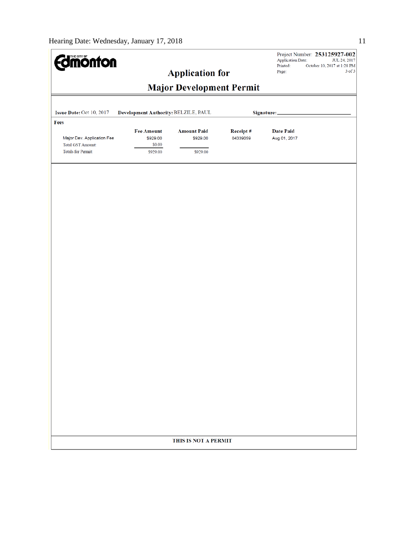| <b>Edmonton</b>                                |                                      |                                |                      | <b>Application Date:</b><br>Printed: | Project Number: 253125927-002<br>JUL 24, 2017<br>October 10, 2017 at 1:28 PM |  |  |  |  |  |
|------------------------------------------------|--------------------------------------|--------------------------------|----------------------|--------------------------------------|------------------------------------------------------------------------------|--|--|--|--|--|
|                                                |                                      | <b>Application for</b>         |                      | Page:                                | $3$ of $3$                                                                   |  |  |  |  |  |
| <b>Major Development Permit</b>                |                                      |                                |                      |                                      |                                                                              |  |  |  |  |  |
|                                                |                                      |                                |                      |                                      |                                                                              |  |  |  |  |  |
| Issue Date: Oct 10, 2017                       | Development Authority: BELZILE, PAUL |                                |                      | Signature:                           |                                                                              |  |  |  |  |  |
| Fees                                           |                                      |                                |                      |                                      |                                                                              |  |  |  |  |  |
| Major Dev. Application Fee                     | <b>Fee Amount</b><br>\$929.00        | <b>Amount Paid</b><br>\$929.00 | Receipt#<br>04339059 | <b>Date Paid</b><br>Aug 01, 2017     |                                                                              |  |  |  |  |  |
| <b>Total GST Amount:</b><br>Totals for Permit: | \$0.00<br>\$929.00                   | \$929.00                       |                      |                                      |                                                                              |  |  |  |  |  |
|                                                |                                      |                                |                      |                                      |                                                                              |  |  |  |  |  |
|                                                |                                      |                                |                      |                                      |                                                                              |  |  |  |  |  |
|                                                |                                      |                                |                      |                                      |                                                                              |  |  |  |  |  |
|                                                |                                      |                                |                      |                                      |                                                                              |  |  |  |  |  |
|                                                |                                      |                                |                      |                                      |                                                                              |  |  |  |  |  |
|                                                |                                      |                                |                      |                                      |                                                                              |  |  |  |  |  |
|                                                |                                      |                                |                      |                                      |                                                                              |  |  |  |  |  |
|                                                |                                      |                                |                      |                                      |                                                                              |  |  |  |  |  |
|                                                |                                      |                                |                      |                                      |                                                                              |  |  |  |  |  |
|                                                |                                      |                                |                      |                                      |                                                                              |  |  |  |  |  |
|                                                |                                      |                                |                      |                                      |                                                                              |  |  |  |  |  |
|                                                |                                      |                                |                      |                                      |                                                                              |  |  |  |  |  |
|                                                |                                      |                                |                      |                                      |                                                                              |  |  |  |  |  |
|                                                |                                      |                                |                      |                                      |                                                                              |  |  |  |  |  |
|                                                |                                      |                                |                      |                                      |                                                                              |  |  |  |  |  |
|                                                |                                      | THIS IS NOT A PERMIT           |                      |                                      |                                                                              |  |  |  |  |  |